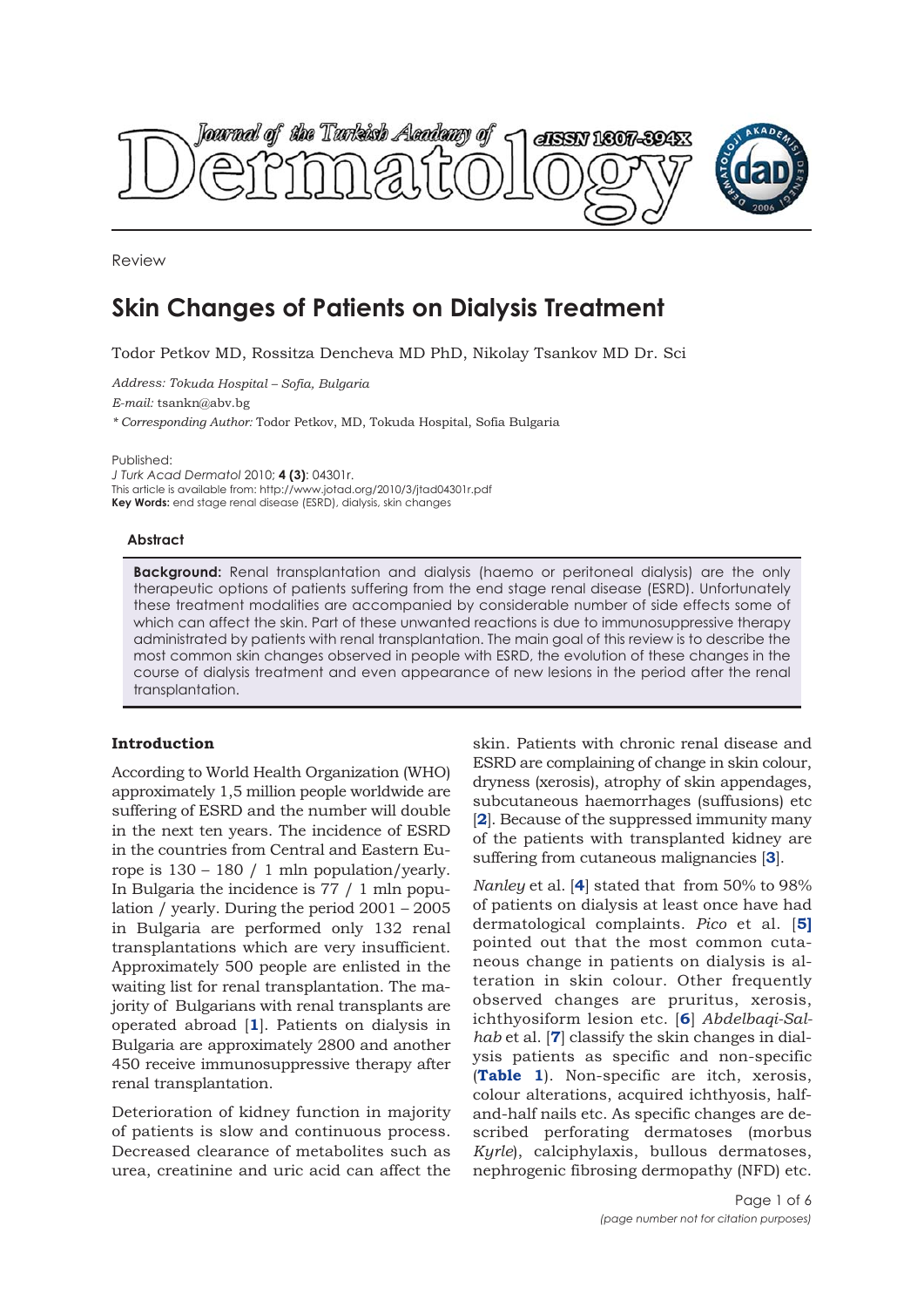

Review

# **Skin Changes of Patients on Dialysis Treatment**

Todor Petkov MD, Rossitza Dencheva MD PhD, Nikolay Tsankov MD Dr. Sci

*Address: Tokuda Hospital – Sofia, Bulgaria*

*E-mail:* tsankn@abv.bg

*\* Corresponding Author:* Todor Petkov, MD, Tokuda Hospital, Sofia Bulgaria

Published:

*J Turk Acad Dermatol* 2010; **4 (3)**: 04301r. This article is available from: http://www.jotad.org/2010/3/jtad04301r.pdf **Key Words:** end stage renal disease (ESRD), dialysis, skin changes

#### **Abstract**

**Background:** Renal transplantation and dialysis (haemo or peritoneal dialysis) are the only therapeutic options of patients suffering from the end stage renal disease (ESRD). Unfortunately these treatment modalities are accompanied by considerable number of side effects some of which can affect the skin. Part of these unwanted reactions is due to immunosuppressive therapy administrated by patients with renal transplantation. The main goal of this review is to describe the most common skin changes observed in people with ESRD, the evolution of these changes in the course of dialysis treatment and even appearance of new lesions in the period after the renal transplantation.

## **Introduction**

According to World Health Organization (WHO) approximately 1,5 million people worldwide are suffering of ESRD and the number will double in the next ten years. The incidence of ESRD in the countries from Central and Eastern Europe is 130 – 180 / 1 mln population/yearly. In Bulgaria the incidence is 77 / 1 mln population / yearly. During the period 2001 – 2005 in Bulgaria are performed only 132 renal transplantations which are very insufficient. Approximately 500 people are enlisted in the waiting list for renal transplantation. The majority of Bulgarians with renal transplants are operated abroad [**1**]. Patients on dialysis in Bulgaria are approximately 2800 and another 450 receive immunosuppressive therapy after renal transplantation.

Deterioration of kidney function in majority of patients is slow and continuous process. Decreased clearance of metabolites such as urea, creatinine and uric acid can affect the

skin. Patients with chronic renal disease and ESRD are complaining of change in skin colour, dryness (xerosis), atrophy of skin appendages, subcutaneous haemorrhages (suffusions) etc [**2**]. Because of the suppressed immunity many of the patients with transplanted kidney are suffering from cutaneous malignancies [**3**].

*Nanley* et al. [**4**] stated that from 50% to 98% of patients on dialysis at least once have had dermatological complaints. *Pico* et al. [**5]** pointed out that the most common cutaneous change in patients on dialysis is alteration in skin colour. Other frequently observed changes are pruritus, xerosis, ichthyosiform lesion etc. [**6**] *Аbdelbaqi-Salhab* et al. [**7**] classify the skin changes in dialysis patients as specific and non-specific (**Table 1**). Non-specific are itch, xerosis, colour alterations, acquired ichthyosis, halfand-half nails etc. As specific changes are described perforating dermatoses (morbus *Kyrle*), calciphylaxis, bullous dermatoses, nephrogenic fibrosing dermopathy (NFD) etc.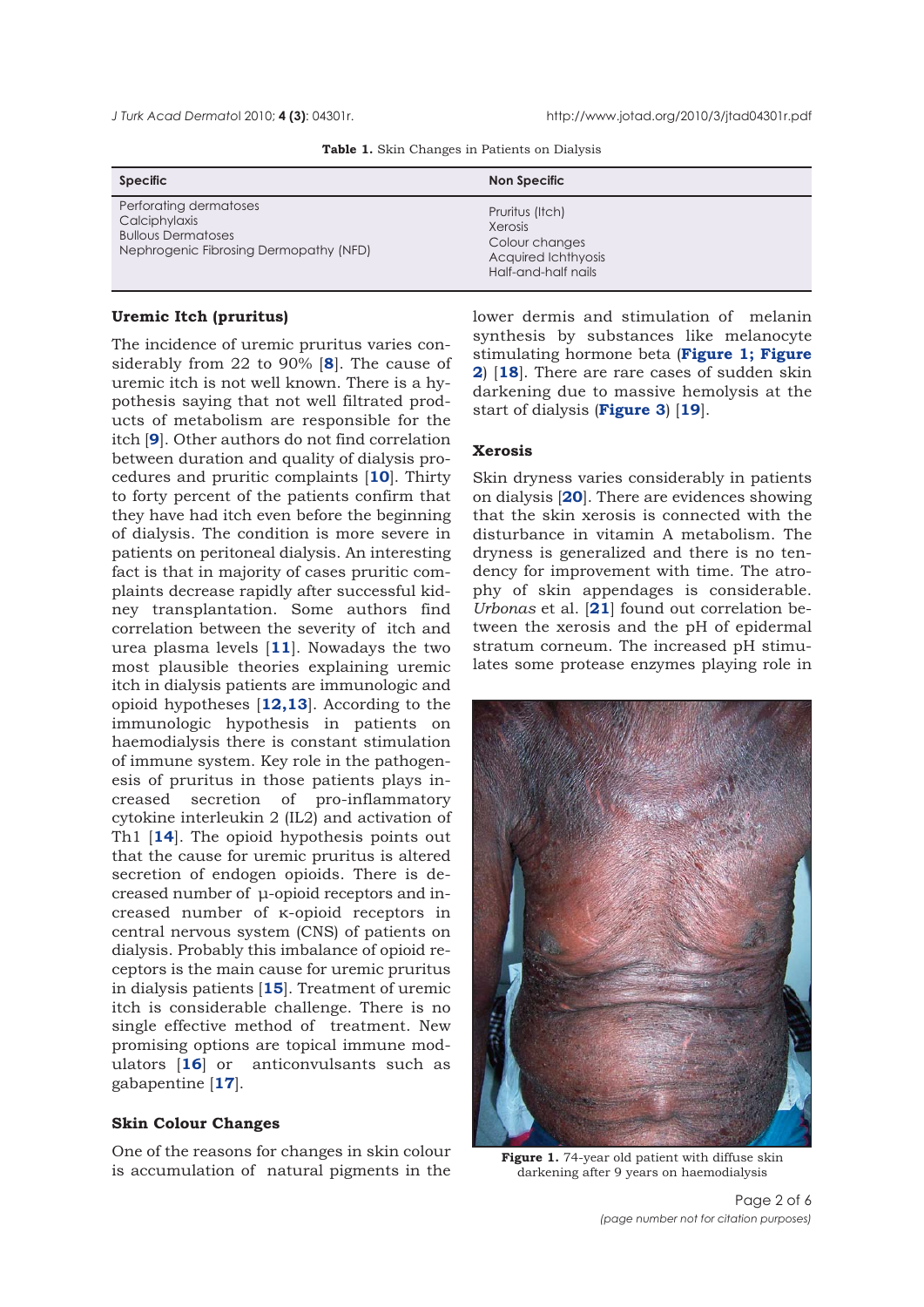*J Turk Acad Dermato*l 2010; **4 (3)**: 04301r. http://www.jotad.org/2010/3/jtad04301r.pdf

|  |  |  | Table 1. Skin Changes in Patients on Dialysis |  |  |  |  |
|--|--|--|-----------------------------------------------|--|--|--|--|
|--|--|--|-----------------------------------------------|--|--|--|--|

| <b>Specific</b>                                                                                                | Non Specific                                                                               |
|----------------------------------------------------------------------------------------------------------------|--------------------------------------------------------------------------------------------|
| Perforating dermatoses<br>Calciphylaxis<br><b>Bullous Dermatoses</b><br>Nephrogenic Fibrosing Dermopathy (NFD) | Pruritus (Itch)<br>Xerosis<br>Colour changes<br>Acquired Ichthyosis<br>Half-and-half nails |

#### **Uremic Itch (pruritus)**

The incidence of uremic pruritus varies considerably from 22 to 90% [**8**]. The cause of uremic itch is not well known. There is a hypothesis saying that not well filtrated products of metabolism are responsible for the itch [**9**]. Other authors do not find correlation between duration and quality of dialysis procedures and pruritic complaints [**10**]. Thirty to forty percent of the patients confirm that they have had itch even before the beginning of dialysis. The condition is more severe in patients on peritoneal dialysis. An interesting fact is that in majority of cases pruritic complaints decrease rapidly after successful kidney transplantation. Some authors find correlation between the severity of itch and urea plasma levels [**11**]. Nowadays the two most plausible theories explaining uremic itch in dialysis patients are immunologic and opioid hypotheses [**12,13**]. According to the immunologic hypothesis in patients on haemodialysis there is constant stimulation of immune system. Key role in the pathogenesis of pruritus in those patients plays increased secretion of pro-inflammatory cytokine interleukin 2 (IL2) and activation of Th1 [**14**]. The opioid hypothesis points out that the cause for uremic pruritus is altered secretion of endogen opioids. There is decreased number of μ-opioid receptors and increased number of κ-opioid receptors in central nervous system (CNS) of patients on dialysis. Probably this imbalance of opioid receptors is the main cause for uremic pruritus in dialysis patients [**15**]. Treatment of uremic itch is considerable challenge. There is no single effective method of treatment. New promising options are topical immune modulators [**16**] or anticonvulsants such as gabapentine [**17**].

#### **Skin Colour Changes**

One of the reasons for changes in skin colour is accumulation of natural pigments in the

lower dermis and stimulation of melanin synthesis by substances like melanocyte stimulating hormone beta (**Figure 1; Figure 2**) [**18**]. There are rare cases of sudden skin darkening due to massive hemolysis at the start of dialysis (**Figure 3**) [**19**].

## **Xerosis**

Skin dryness varies considerably in patients on dialysis [**20**]. There are evidences showing that the skin xerosis is connected with the disturbance in vitamin A metabolism. The dryness is generalized and there is no tendency for improvement with time. The atrophy of skin appendages is considerable. *Urbonas* et al. [**21**] found out correlation between the xerosis and the pH of epidermal stratum corneum. The increased pH stimulates some protease enzymes playing role in



Figure 1.74-year old patient with diffuse skin darkening after 9 years on haemodialysis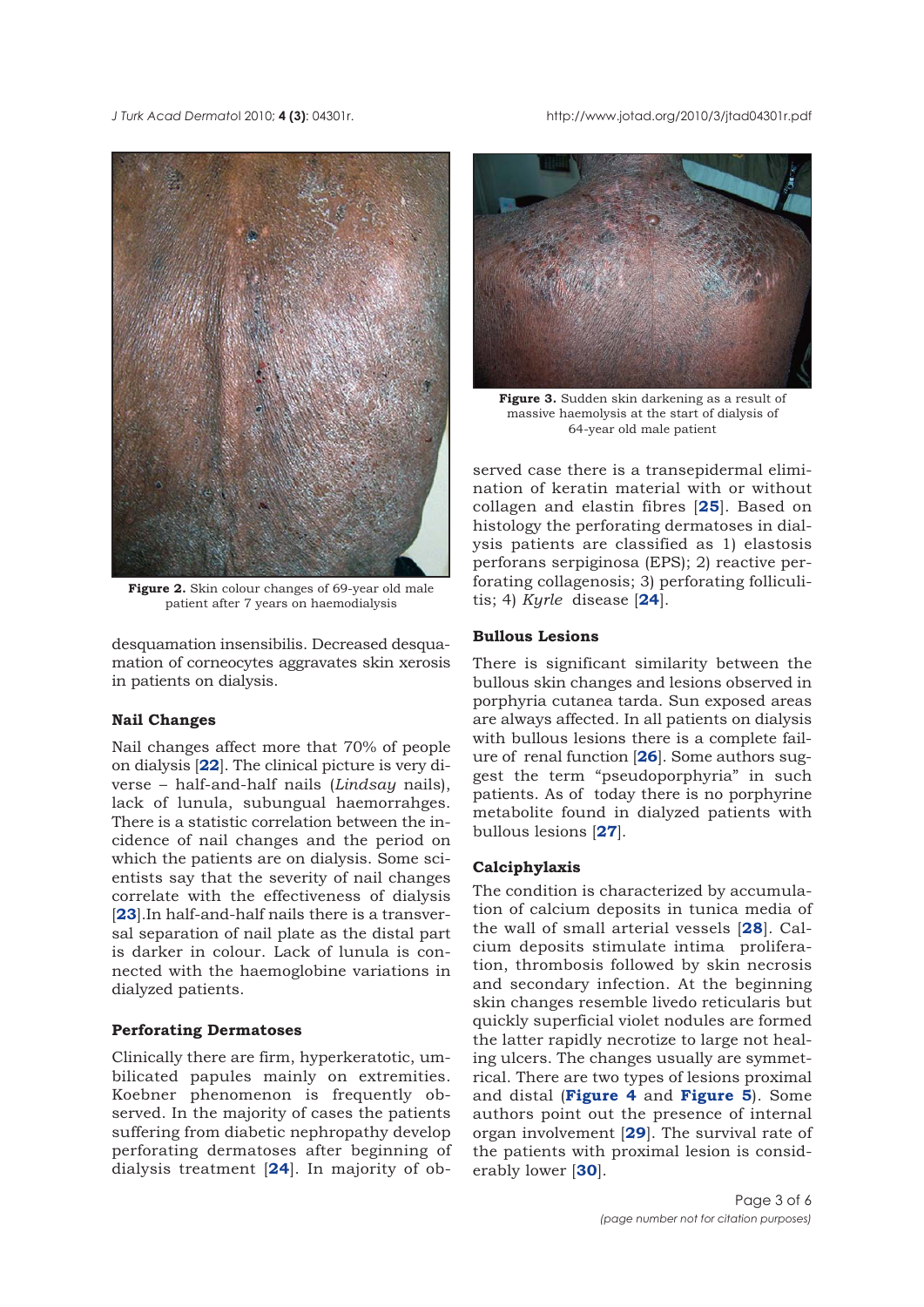*J Turk Acad Dermato*l 2010; **4 (3)**: 04301r. http://www.jotad.org/2010/3/jtad04301r.pdf



**Figure 2.** Skin colour changes of 69-year old male patient after 7 years on haemodialysis

desquamation insensibilis. Decreased desquamation of corneocytes aggravates skin xerosis in patients on dialysis.

# **Nail Changes**

Nail changes affect more that 70% of people on dialysis [**22**]. The clinical picture is very diverse – half-and-half nails (*Lindsay* nails), lack of lunula, subungual haemorrahges. There is a statistic correlation between the incidence of nail changes and the period on which the patients are on dialysis. Some scientists say that the severity of nail changes correlate with the effectiveness of dialysis [**23**].In half-and-half nails there is a transversal separation of nail plate as the distal part is darker in colour. Lack of lunula is connected with the haemoglobine variations in dialyzed patients.

## **Perforating Dermatoses**

Clinically there are firm, hyperkeratotic, umbilicated papules mainly on extremities. Koebner phenomenon is frequently observed. In the majority of cases the patients suffering from diabetic nephropathy develop perforating dermatoses after beginning of dialysis treatment [**24**]. In majority of ob-



**Figure 3.** Sudden skin darkening as a result of massive haemolysis at the start of dialysis of 64-year old male patient

served case there is a transepidermal elimination of keratin material with or without collagen and elastin fibres [**25**]. Based on histology the perforating dermatoses in dialysis patients are classified as 1) elastosis perforans serpiginosa (EPS); 2) reactive perforating collagenosis; 3) perforating folliculitis; 4) *Kyrle* disease [**24**].

# **Bullous Lesions**

There is significant similarity between the bullous skin changes and lesions observed in porphyria cutanea tarda. Sun exposed areas are always affected. In all patients on dialysis with bullous lesions there is a complete failure of renal function [**26**]. Some authors suggest the term "pseudoporphyria" in such patients. As of today there is no porphyrine metabolite found in dialyzed patients with bullous lesions [**27**].

## **Calciphylaxis**

The condition is characterized by accumulation of calcium deposits in tunica media of the wall of small arterial vessels [**28**]. Calcium deposits stimulate intima proliferation, thrombosis followed by skin necrosis and secondary infection. At the beginning skin changes resemble livedo reticularis but quickly superficial violet nodules are formed the latter rapidly necrotize to large not healing ulcers. The changes usually are symmetrical. There are two types of lesions proximal and distal (**Figure 4** and **Figure 5**). Some authors point out the presence of internal organ involvement [**29**]. The survival rate of the patients with proximal lesion is considerably lower [**30**].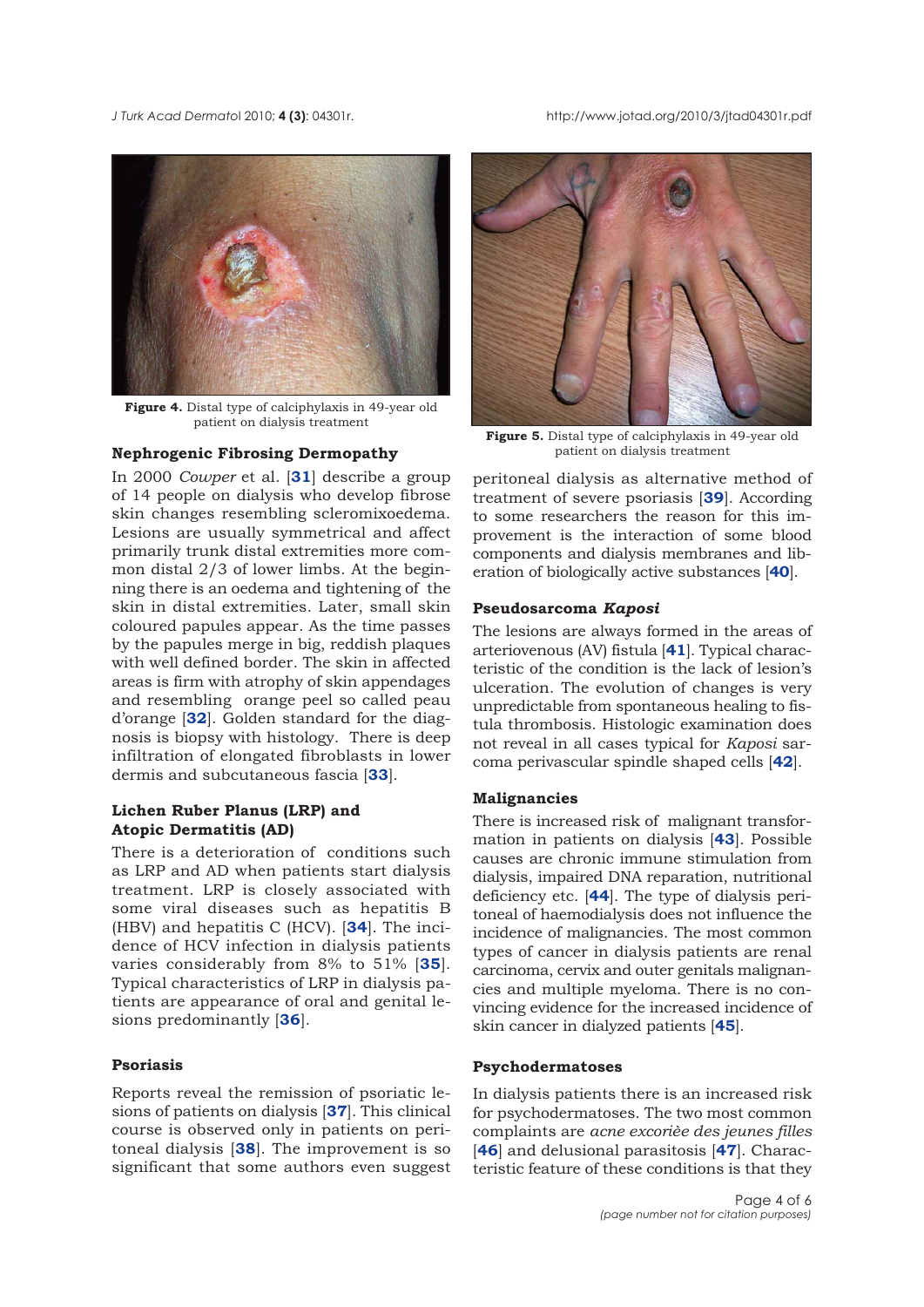*J Turk Acad Dermato*l 2010; **4 (3)**: 04301r. http://www.jotad.org/2010/3/jtad04301r.pdf



**Figure 4.** Distal type of calciphylaxis in 49-year old patient on dialysis treatment

## **Nephrogenic Fibrosing Dermopathy**

In 2000 *Cowper* et al. [**31**] describe a group of 14 people on dialysis who develop fibrose skin changes resembling scleromixoedema. Lesions are usually symmetrical and affect primarily trunk distal extremities more common distal 2/3 of lower limbs. At the beginning there is an oedema and tightening of the skin in distal extremities. Later, small skin coloured papules appear. As the time passes by the papules merge in big, reddish plaques with well defined border. The skin in affected areas is firm with atrophy of skin appendages and resembling orange peel so called peau d'orange [**32**]. Golden standard for the diagnosis is biopsy with histology. There is deep infiltration of elongated fibroblasts in lower dermis and subcutaneous fascia [**33**].

# **Lichen Ruber Planus (LRP) and Atopic Dermatitis (AD)**

There is a deterioration of conditions such as LRP and AD when patients start dialysis treatment. LRP is closely associated with some viral diseases such as hepatitis B (HBV) and hepatitis C (HCV). [**34**]. The incidence of HCV infection in dialysis patients varies considerably from 8% to 51% [**35**]. Typical characteristics of LRP in dialysis patients are appearance of oral and genital lesions predominantly [**36**].

#### **Psoriasis**

Reports reveal the remission of psoriatic lesions of patients on dialysis [**37**]. This clinical course is observed only in patients on peritoneal dialysis [**38**]. The improvement is so significant that some authors even suggest



**Figure 5.** Distal type of calciphylaxis in 49-year old patient on dialysis treatment

peritoneal dialysis as alternative method of treatment of severe psoriasis [**39**]. According to some researchers the reason for this improvement is the interaction of some blood components and dialysis membranes and liberation of biologically active substances [**40**].

#### **Pseudosarcoma** *Kaposi*

The lesions are always formed in the areas of arteriovenous (AV) fistula [**41**]. Typical characteristic of the condition is the lack of lesion's ulceration. The evolution of changes is very unpredictable from spontaneous healing to fistula thrombosis. Histologic examination does not reveal in all cases typical for *Kaposi* sarcoma perivascular spindle shaped cells [**42**].

## **Malignancies**

There is increased risk of malignant transformation in patients on dialysis [**43**]. Possible causes are chronic immune stimulation from dialysis, impaired DNA reparation, nutritional deficiency etc. [**44**]. The type of dialysis peritoneal of haemodialysis does not influence the incidence of malignancies. The most common types of cancer in dialysis patients are renal carcinoma, cervix and outer genitals malignancies and multiple myeloma. There is no convincing evidence for the increased incidence of skin cancer in dialyzed patients [**45**].

### **Psychodermatoses**

In dialysis patients there is an increased risk for psychodermatoses. The two most common complaints are *acne excorièe des jeunes filles* [**46**] and delusional parasitosis [**47**]. Characteristic feature of these conditions is that they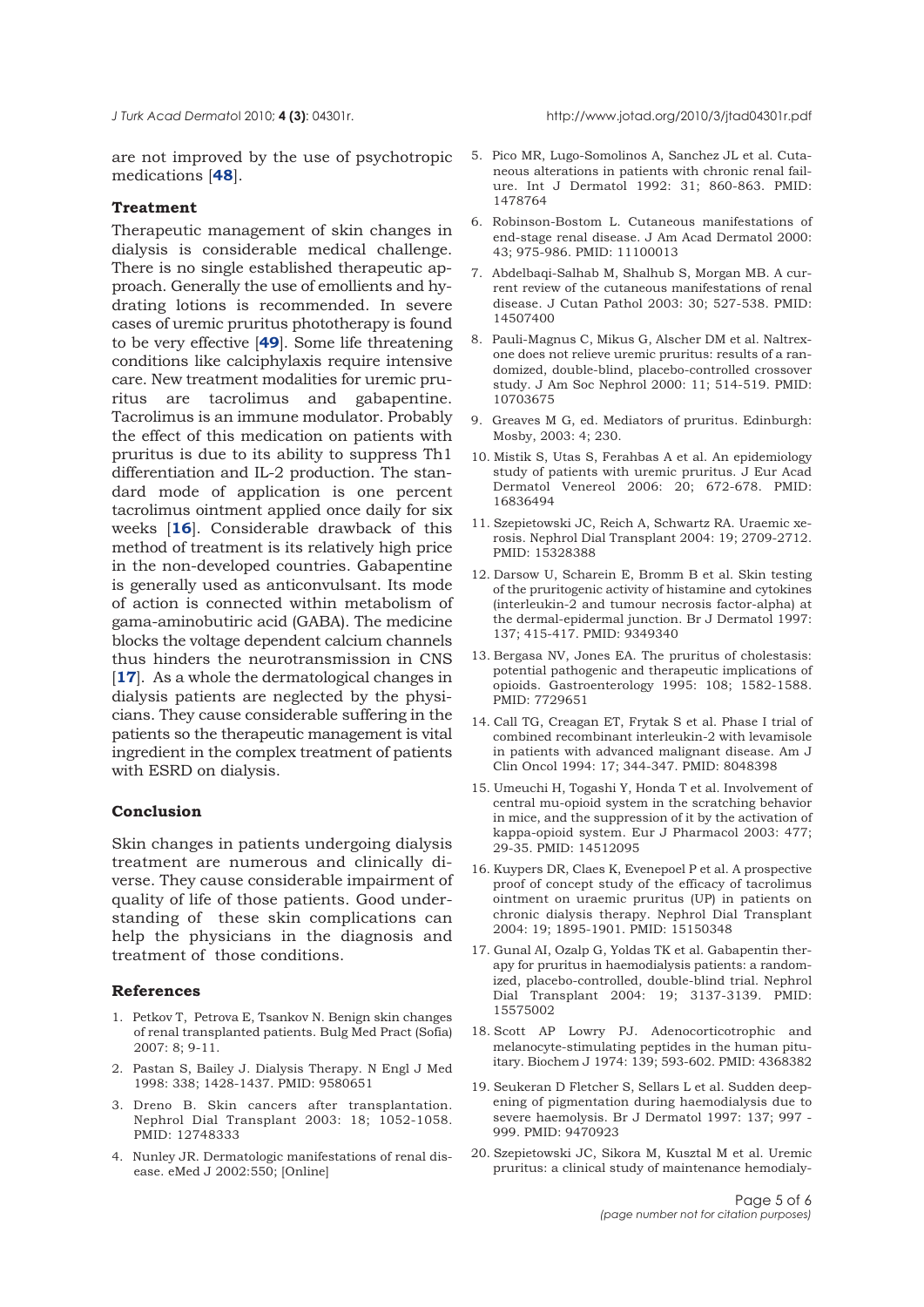are not improved by the use of psychotropic medications [**48**].

#### **Treatment**

Therapeutic management of skin changes in dialysis is considerable medical challenge. There is no single established therapeutic approach. Generally the use of emollients and hydrating lotions is recommended. In severe cases of uremic pruritus phototherapy is found to be very effective [**49**]. Some life threatening conditions like calciphylaxis require intensive care. New treatment modalities for uremic pruritus are tacrolimus and gabapentine. Tacrolimus is an immune modulator. Probably the effect of this medication on patients with pruritus is due to its ability to suppress Th1 differentiation and IL-2 production. The standard mode of application is one percent tacrolimus ointment applied once daily for six weeks [**16**]. Considerable drawback of this method of treatment is its relatively high price in the non-developed countries. Gabapentine is generally used as anticonvulsant. Its mode of action is connected within metabolism of gama-aminobutiric acid (GABA). The medicine blocks the voltage dependent calcium channels thus hinders the neurotransmission in CNS [**17**]. As a whole the dermatological changes in dialysis patients are neglected by the physicians. They cause considerable suffering in the patients so the therapeutic management is vital ingredient in the complex treatment of patients with ESRD on dialysis.

## **Conclusion**

Skin changes in patients undergoing dialysis treatment are numerous and clinically diverse. They cause considerable impairment of quality of life of those patients. Good understanding of these skin complications can help the physicians in the diagnosis and treatment of those conditions.

## **References**

- 1. Petkov T, Petrova E, Tsankov N. Benign skin changes of renal transplanted patients. Bulg Med Pract (Sofia) 2007: 8; 9-11.
- 2. Pastan S, Bailey J. Dialysis Therapy. N Engl J Med 1998: 338; 1428-1437. PMID: 9580651
- 3. Dreno B. Skin cancers after transplantation. Nephrol Dial Transplant 2003: 18; 1052-1058. PMID: 12748333
- 4. Nunley JR. Dermatologic manifestations of renal disease. eMed J 2002:550; [Online]
- 5. Pico MR, Lugo-Somolinos A, Sanchez JL et al. Cutaneous alterations in patients with chronic renal failure. Int J Dermatol 1992: 31; 860-863. PMID: 1478764
- 6. Robinson-Bostom L. Cutaneous manifestations of end-stage renal disease. J Am Acad Dermatol 2000: 43; 975-986. PMID: 11100013
- 7. Abdelbaqi-Salhab M, Shalhub S, Morgan MB. A current review of the cutaneous manifestations of renal disease. J Cutan Pathol 2003: 30; 527-538. PMID: 14507400
- 8. Pauli-Magnus C, Mikus G, Alscher DM et al. Naltrexone does not relieve uremic pruritus: results of a randomized, double-blind, placebo-controlled crossover study. J Am Soc Nephrol 2000: 11; 514-519. PMID: 10703675
- 9. Greaves M G, ed. Mediators of pruritus. Edinburgh: Mosby, 2003: 4; 230.
- 10. Mistik S, Utas S, Ferahbas A et al. An epidemiology study of patients with uremic pruritus. J Eur Acad Dermatol Venereol 2006: 20; 672-678. PMID: 16836494
- 11. Szepietowski JC, Reich A, Schwartz RA. Uraemic xerosis. Nephrol Dial Transplant 2004: 19; 2709-2712. PMID: 15328388
- 12. Darsow U, Scharein E, Bromm B et al. Skin testing of the pruritogenic activity of histamine and cytokines (interleukin-2 and tumour necrosis factor-alpha) at the dermal-epidermal junction. Br J Dermatol 1997: 137; 415-417. PMID: 9349340
- 13. Bergasa NV, Jones EA. The pruritus of cholestasis: potential pathogenic and therapeutic implications of opioids. Gastroenterology 1995: 108; 1582-1588. PMID: 7729651
- 14. Call TG, Creagan ET, Frytak S et al. Phase I trial of combined recombinant interleukin-2 with levamisole in patients with advanced malignant disease. Am J Clin Oncol 1994: 17; 344-347. PMID: 8048398
- 15. Umeuchi H, Togashi Y, Honda T et al. Involvement of central mu-opioid system in the scratching behavior in mice, and the suppression of it by the activation of kappa-opioid system. Eur J Pharmacol 2003: 477; 29-35. PMID: 14512095
- 16. Kuypers DR, Claes K, Evenepoel P et al. A prospective proof of concept study of the efficacy of tacrolimus ointment on uraemic pruritus (UP) in patients on chronic dialysis therapy. Nephrol Dial Transplant 2004: 19; 1895-1901. PMID: 15150348
- 17. Gunal AI, Ozalp G, Yoldas TK et al. Gabapentin therapy for pruritus in haemodialysis patients: a randomized, placebo-controlled, double-blind trial. Nephrol Dial Transplant 2004: 19; 3137-3139. PMID: 15575002
- 18. Scott AP Lowry PJ. Adenocorticotrophic and melanocyte-stimulating peptides in the human pituitary. Biochem J 1974: 139; 593-602. PMID: 4368382
- 19. Seukeran D Fletcher S, Sellars L et al. Sudden deepening of pigmentation during haemodialysis due to severe haemolysis. Br J Dermatol 1997: 137; 997 - 999. PMID: 9470923
- 20. Szepietowski JC, Sikora M, Kusztal M et al. Uremic pruritus: a clinical study of maintenance hemodialy-